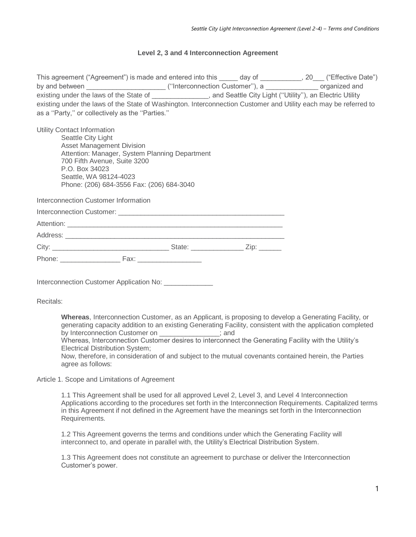# **Level 2, 3 and 4 Interconnection Agreement**

This agreement ("Agreement") is made and entered into this \_\_\_\_\_ day of \_\_\_\_\_\_\_\_\_, 20\_\_\_ ("Effective Date") by and between  $($ "Interconnection Customer"), a  $\overline{a}$  organized and existing under the laws of the State of \_\_\_\_\_\_\_\_\_\_\_\_, and Seattle City Light ("Utility"), an Electric Utility existing under the laws of the State of Washington. Interconnection Customer and Utility each may be referred to as a ''Party,'' or collectively as the ''Parties.''

Utility Contact Information

Seattle City Light Asset Management Division Attention: Manager, System Planning Department 700 Fifth Avenue, Suite 3200 P.O. Box 34023 Seattle, WA 98124-4023 Phone: (206) 684-3556 Fax: (206) 684-3040

Interconnection Customer Information

|        |      | State: ______________ | Zip: The contract of the contract of the contract of the contract of the contract of the contract of the contract of the contract of the contract of the contract of the contract of the contract of the contract of the contr |
|--------|------|-----------------------|--------------------------------------------------------------------------------------------------------------------------------------------------------------------------------------------------------------------------------|
| Phone: | Fax: |                       |                                                                                                                                                                                                                                |

Interconnection Customer Application No: \_\_\_\_\_\_\_\_\_\_\_\_

Recitals:

**Whereas**, Interconnection Customer, as an Applicant, is proposing to develop a Generating Facility, or generating capacity addition to an existing Generating Facility, consistent with the application completed by Interconnection Customer on \_\_\_\_\_\_\_\_\_\_\_\_\_\_\_\_; and

Whereas, Interconnection Customer desires to interconnect the Generating Facility with the Utility's Electrical Distribution System;

Now, therefore, in consideration of and subject to the mutual covenants contained herein, the Parties agree as follows:

Article 1. Scope and Limitations of Agreement

1.1 This Agreement shall be used for all approved Level 2, Level 3, and Level 4 Interconnection Applications according to the procedures set forth in the Interconnection Requirements. Capitalized terms in this Agreement if not defined in the Agreement have the meanings set forth in the Interconnection Requirements.

1.2 This Agreement governs the terms and conditions under which the Generating Facility will interconnect to, and operate in parallel with, the Utility's Electrical Distribution System.

1.3 This Agreement does not constitute an agreement to purchase or deliver the Interconnection Customer's power.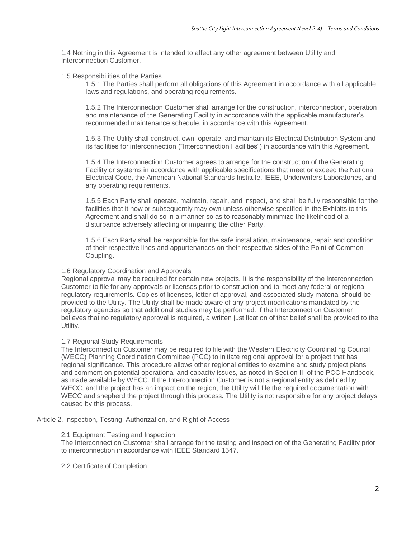1.4 Nothing in this Agreement is intended to affect any other agreement between Utility and Interconnection Customer.

## 1.5 Responsibilities of the Parties

1.5.1 The Parties shall perform all obligations of this Agreement in accordance with all applicable laws and regulations, and operating requirements.

1.5.2 The Interconnection Customer shall arrange for the construction, interconnection, operation and maintenance of the Generating Facility in accordance with the applicable manufacturer's recommended maintenance schedule, in accordance with this Agreement.

1.5.3 The Utility shall construct, own, operate, and maintain its Electrical Distribution System and its facilities for interconnection ("Interconnection Facilities") in accordance with this Agreement.

1.5.4 The Interconnection Customer agrees to arrange for the construction of the Generating Facility or systems in accordance with applicable specifications that meet or exceed the National Electrical Code, the American National Standards Institute, IEEE, Underwriters Laboratories, and any operating requirements.

1.5.5 Each Party shall operate, maintain, repair, and inspect, and shall be fully responsible for the facilities that it now or subsequently may own unless otherwise specified in the Exhibits to this Agreement and shall do so in a manner so as to reasonably minimize the likelihood of a disturbance adversely affecting or impairing the other Party.

1.5.6 Each Party shall be responsible for the safe installation, maintenance, repair and condition of their respective lines and appurtenances on their respective sides of the Point of Common Coupling.

# 1.6 Regulatory Coordination and Approvals

Regional approval may be required for certain new projects. It is the responsibility of the Interconnection Customer to file for any approvals or licenses prior to construction and to meet any federal or regional regulatory requirements. Copies of licenses, letter of approval, and associated study material should be provided to the Utility. The Utility shall be made aware of any project modifications mandated by the regulatory agencies so that additional studies may be performed. If the Interconnection Customer believes that no regulatory approval is required, a written justification of that belief shall be provided to the Utility.

# 1.7 Regional Study Requirements

The Interconnection Customer may be required to file with the Western Electricity Coordinating Council (WECC) Planning Coordination Committee (PCC) to initiate regional approval for a project that has regional significance. This procedure allows other regional entities to examine and study project plans and comment on potential operational and capacity issues, as noted in Section III of the PCC Handbook, as made available by WECC. If the Interconnection Customer is not a regional entity as defined by WECC, and the project has an impact on the region, the Utility will file the required documentation with WECC and shepherd the project through this process. The Utility is not responsible for any project delays caused by this process.

Article 2. Inspection, Testing, Authorization, and Right of Access

### 2.1 Equipment Testing and Inspection

The Interconnection Customer shall arrange for the testing and inspection of the Generating Facility prior to interconnection in accordance with IEEE Standard 1547.

### 2.2 Certificate of Completion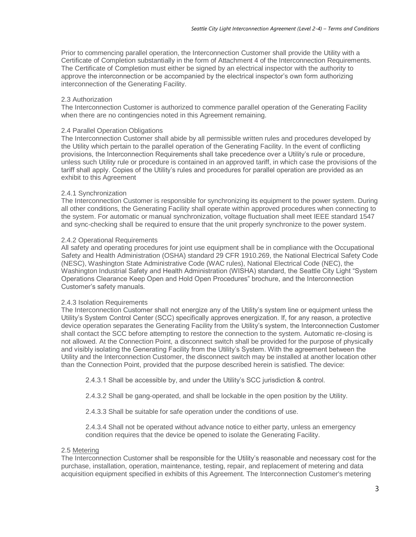Prior to commencing parallel operation, the Interconnection Customer shall provide the Utility with a Certificate of Completion substantially in the form of Attachment 4 of the Interconnection Requirements. The Certificate of Completion must either be signed by an electrical inspector with the authority to approve the interconnection or be accompanied by the electrical inspector's own form authorizing interconnection of the Generating Facility.

## 2.3 Authorization

The Interconnection Customer is authorized to commence parallel operation of the Generating Facility when there are no contingencies noted in this Agreement remaining.

## 2.4 Parallel Operation Obligations

The Interconnection Customer shall abide by all permissible written rules and procedures developed by the Utility which pertain to the parallel operation of the Generating Facility. In the event of conflicting provisions, the Interconnection Requirements shall take precedence over a Utility's rule or procedure, unless such Utility rule or procedure is contained in an approved tariff, in which case the provisions of the tariff shall apply. Copies of the Utility's rules and procedures for parallel operation are provided as an exhibit to this Agreement

## 2.4.1 Synchronization

The Interconnection Customer is responsible for synchronizing its equipment to the power system. During all other conditions, the Generating Facility shall operate within approved procedures when connecting to the system. For automatic or manual synchronization, voltage fluctuation shall meet IEEE standard 1547 and sync-checking shall be required to ensure that the unit properly synchronize to the power system.

## 2.4.2 Operational Requirements

All safety and operating procedures for joint use equipment shall be in compliance with the Occupational Safety and Health Administration (OSHA) standard 29 CFR 1910.269, the National Electrical Safety Code (NESC), Washington State Administrative Code (WAC rules), National Electrical Code (NEC), the Washington Industrial Safety and Health Administration (WISHA) standard, the Seattle City Light "System Operations Clearance Keep Open and Hold Open Procedures" brochure, and the Interconnection Customer's safety manuals.

# 2.4.3 Isolation Requirements

The Interconnection Customer shall not energize any of the Utility's system line or equipment unless the Utility's System Control Center (SCC) specifically approves energization. If, for any reason, a protective device operation separates the Generating Facility from the Utility's system, the Interconnection Customer shall contact the SCC before attempting to restore the connection to the system. Automatic re-closing is not allowed. At the Connection Point, a disconnect switch shall be provided for the purpose of physically and visibly isolating the Generating Facility from the Utility's System. With the agreement between the Utility and the Interconnection Customer, the disconnect switch may be installed at another location other than the Connection Point, provided that the purpose described herein is satisfied. The device:

2.4.3.1 Shall be accessible by, and under the Utility's SCC jurisdiction & control.

2.4.3.2 Shall be gang-operated, and shall be lockable in the open position by the Utility.

2.4.3.3 Shall be suitable for safe operation under the conditions of use.

2.4.3.4 Shall not be operated without advance notice to either party, unless an emergency condition requires that the device be opened to isolate the Generating Facility.

### 2.5 Metering

The Interconnection Customer shall be responsible for the Utility's reasonable and necessary cost for the purchase, installation, operation, maintenance, testing, repair, and replacement of metering and data acquisition equipment specified in exhibits of this Agreement. The Interconnection Customer's metering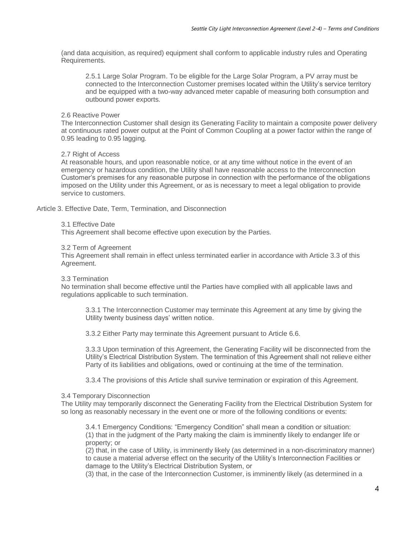(and data acquisition, as required) equipment shall conform to applicable industry rules and Operating Requirements.

2.5.1 Large Solar Program. To be eligible for the Large Solar Program, a PV array must be connected to the Interconnection Customer premises located within the Utility's service territory and be equipped with a two-way advanced meter capable of measuring both consumption and outbound power exports.

# 2.6 Reactive Power

The Interconnection Customer shall design its Generating Facility to maintain a composite power delivery at continuous rated power output at the Point of Common Coupling at a power factor within the range of 0.95 leading to 0.95 lagging.

# 2.7 Right of Access

At reasonable hours, and upon reasonable notice, or at any time without notice in the event of an emergency or hazardous condition, the Utility shall have reasonable access to the Interconnection Customer's premises for any reasonable purpose in connection with the performance of the obligations imposed on the Utility under this Agreement, or as is necessary to meet a legal obligation to provide service to customers.

Article 3. Effective Date, Term, Termination, and Disconnection

## 3.1 Effective Date

This Agreement shall become effective upon execution by the Parties.

## 3.2 Term of Agreement

This Agreement shall remain in effect unless terminated earlier in accordance with Article 3.3 of this Agreement.

### 3.3 Termination

No termination shall become effective until the Parties have complied with all applicable laws and regulations applicable to such termination.

3.3.1 The Interconnection Customer may terminate this Agreement at any time by giving the Utility twenty business days' written notice.

3.3.2 Either Party may terminate this Agreement pursuant to Article 6.6.

3.3.3 Upon termination of this Agreement, the Generating Facility will be disconnected from the Utility's Electrical Distribution System. The termination of this Agreement shall not relieve either Party of its liabilities and obligations, owed or continuing at the time of the termination.

3.3.4 The provisions of this Article shall survive termination or expiration of this Agreement.

# 3.4 Temporary Disconnection

The Utility may temporarily disconnect the Generating Facility from the Electrical Distribution System for so long as reasonably necessary in the event one or more of the following conditions or events:

3.4.1 Emergency Conditions: "Emergency Condition" shall mean a condition or situation: (1) that in the judgment of the Party making the claim is imminently likely to endanger life or property; or

(2) that, in the case of Utility, is imminently likely (as determined in a non-discriminatory manner) to cause a material adverse effect on the security of the Utility's Interconnection Facilities or damage to the Utility's Electrical Distribution System, or

(3) that, in the case of the Interconnection Customer, is imminently likely (as determined in a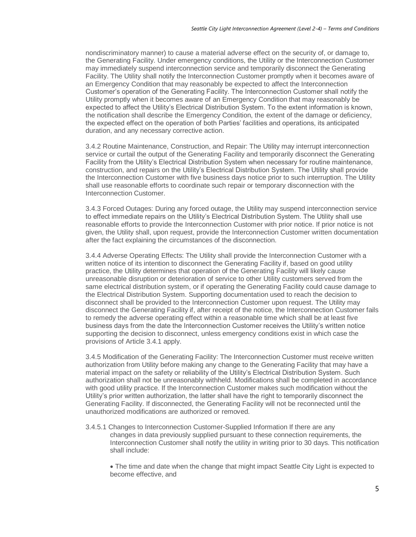nondiscriminatory manner) to cause a material adverse effect on the security of, or damage to, the Generating Facility. Under emergency conditions, the Utility or the Interconnection Customer may immediately suspend interconnection service and temporarily disconnect the Generating Facility. The Utility shall notify the Interconnection Customer promptly when it becomes aware of an Emergency Condition that may reasonably be expected to affect the Interconnection Customer's operation of the Generating Facility. The Interconnection Customer shall notify the Utility promptly when it becomes aware of an Emergency Condition that may reasonably be expected to affect the Utility's Electrical Distribution System. To the extent information is known, the notification shall describe the Emergency Condition, the extent of the damage or deficiency, the expected effect on the operation of both Parties' facilities and operations, its anticipated duration, and any necessary corrective action.

3.4.2 Routine Maintenance, Construction, and Repair: The Utility may interrupt interconnection service or curtail the output of the Generating Facility and temporarily disconnect the Generating Facility from the Utility's Electrical Distribution System when necessary for routine maintenance, construction, and repairs on the Utility's Electrical Distribution System. The Utility shall provide the Interconnection Customer with five business days notice prior to such interruption. The Utility shall use reasonable efforts to coordinate such repair or temporary disconnection with the Interconnection Customer.

3.4.3 Forced Outages: During any forced outage, the Utility may suspend interconnection service to effect immediate repairs on the Utility's Electrical Distribution System. The Utility shall use reasonable efforts to provide the Interconnection Customer with prior notice. If prior notice is not given, the Utility shall, upon request, provide the Interconnection Customer written documentation after the fact explaining the circumstances of the disconnection.

3.4.4 Adverse Operating Effects: The Utility shall provide the Interconnection Customer with a written notice of its intention to disconnect the Generating Facility if, based on good utility practice, the Utility determines that operation of the Generating Facility will likely cause unreasonable disruption or deterioration of service to other Utility customers served from the same electrical distribution system, or if operating the Generating Facility could cause damage to the Electrical Distribution System. Supporting documentation used to reach the decision to disconnect shall be provided to the Interconnection Customer upon request. The Utility may disconnect the Generating Facility if, after receipt of the notice, the Interconnection Customer fails to remedy the adverse operating effect within a reasonable time which shall be at least five business days from the date the Interconnection Customer receives the Utility's written notice supporting the decision to disconnect, unless emergency conditions exist in which case the provisions of Article 3.4.1 apply.

3.4.5 Modification of the Generating Facility: The Interconnection Customer must receive written authorization from Utility before making any change to the Generating Facility that may have a material impact on the safety or reliability of the Utility's Electrical Distribution System. Such authorization shall not be unreasonably withheld. Modifications shall be completed in accordance with good utility practice. If the Interconnection Customer makes such modification without the Utility's prior written authorization, the latter shall have the right to temporarily disconnect the Generating Facility. If disconnected, the Generating Facility will not be reconnected until the unauthorized modifications are authorized or removed.

3.4.5.1 Changes to Interconnection Customer-Supplied Information If there are any changes in data previously supplied pursuant to these connection requirements, the Interconnection Customer shall notify the utility in writing prior to 30 days. This notification shall include:

• The time and date when the change that might impact Seattle City Light is expected to become effective, and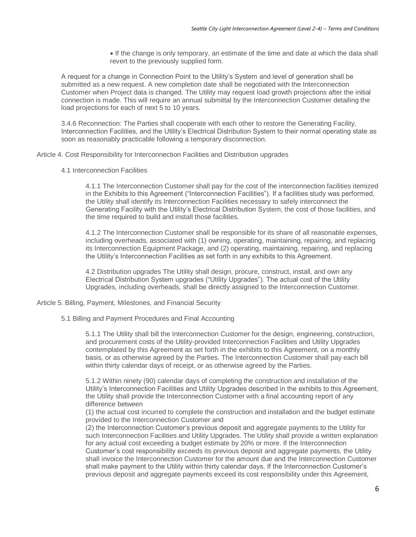• If the change is only temporary, an estimate of the time and date at which the data shall revert to the previously supplied form.

A request for a change in Connection Point to the Utility's System and level of generation shall be submitted as a new request. A new completion date shall be negotiated with the Interconnection Customer when Project data is changed. The Utility may request load growth projections after the initial connection is made. This will require an annual submittal by the Interconnection Customer detailing the load projections for each of next 5 to 10 years.

3.4.6 Reconnection: The Parties shall cooperate with each other to restore the Generating Facility, Interconnection Facilities, and the Utility's Electrical Distribution System to their normal operating state as soon as reasonably practicable following a temporary disconnection.

Article 4. Cost Responsibility for Interconnection Facilities and Distribution upgrades

4.1 Interconnection Facilities

4.1.1 The Interconnection Customer shall pay for the cost of the interconnection facilities itemized in the Exhibits to this Agreement ("Interconnection Facilities"). If a facilities study was performed, the Utility shall identify its Interconnection Facilities necessary to safely interconnect the Generating Facility with the Utility's Electrical Distribution System, the cost of those facilities, and the time required to build and install those facilities.

4.1.2 The Interconnection Customer shall be responsible for its share of all reasonable expenses, including overheads, associated with (1) owning, operating, maintaining, repairing, and replacing its Interconnection Equipment Package, and (2) operating, maintaining, repairing, and replacing the Utility's Interconnection Facilities as set forth in any exhibits to this Agreement.

4.2 Distribution upgrades The Utility shall design, procure, construct, install, and own any Electrical Distribution System upgrades ("Utility Upgrades"). The actual cost of the Utility Upgrades, including overheads, shall be directly assigned to the Interconnection Customer.

Article 5. Billing, Payment, Milestones, and Financial Security

5.1 Billing and Payment Procedures and Final Accounting

5.1.1 The Utility shall bill the Interconnection Customer for the design, engineering, construction, and procurement costs of the Utility-provided Interconnection Facilities and Utility Upgrades contemplated by this Agreement as set forth in the exhibits to this Agreement, on a monthly basis, or as otherwise agreed by the Parties. The Interconnection Customer shall pay each bill within thirty calendar days of receipt, or as otherwise agreed by the Parties.

5.1.2 Within ninety (90) calendar days of completing the construction and installation of the Utility's Interconnection Facilities and Utility Upgrades described in the exhibits to this Agreement, the Utility shall provide the Interconnection Customer with a final accounting report of any difference between

(1) the actual cost incurred to complete the construction and installation and the budget estimate provided to the Interconnection Customer and

(2) the Interconnection Customer's previous deposit and aggregate payments to the Utility for such Interconnection Facilities and Utility Upgrades. The Utility shall provide a written explanation for any actual cost exceeding a budget estimate by 20% or more. If the Interconnection Customer's cost responsibility exceeds its previous deposit and aggregate payments, the Utility shall invoice the Interconnection Customer for the amount due and the Interconnection Customer shall make payment to the Utility within thirty calendar days. If the Interconnection Customer's previous deposit and aggregate payments exceed its cost responsibility under this Agreement,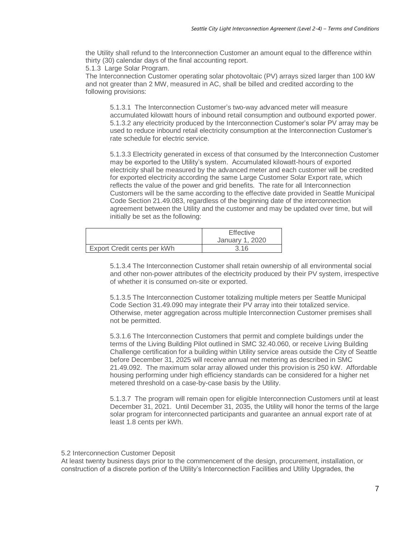the Utility shall refund to the Interconnection Customer an amount equal to the difference within thirty (30) calendar days of the final accounting report.

5.1.3 Large Solar Program.

The Interconnection Customer operating solar photovoltaic (PV) arrays sized larger than 100 kW and not greater than 2 MW, measured in AC, shall be billed and credited according to the following provisions:

5.1.3.1 The Interconnection Customer's two-way advanced meter will measure accumulated kilowatt hours of inbound retail consumption and outbound exported power. 5.1.3.2 any electricity produced by the Interconnection Customer's solar PV array may be used to reduce inbound retail electricity consumption at the Interconnection Customer's rate schedule for electric service.

5.1.3.3 Electricity generated in excess of that consumed by the Interconnection Customer may be exported to the Utility's system. Accumulated kilowatt-hours of exported electricity shall be measured by the advanced meter and each customer will be credited for exported electricity according the same Large Customer Solar Export rate, which reflects the value of the power and grid benefits. The rate for all Interconnection Customers will be the same according to the effective date provided in Seattle Municipal Code Section 21.49.083, regardless of the beginning date of the interconnection agreement between the Utility and the customer and may be updated over time, but will initially be set as the following:

|                             | <b>Effective</b> |
|-----------------------------|------------------|
|                             | January 1, 2020  |
| Export Credit cents per kWh | 3.16             |

5.1.3.4 The Interconnection Customer shall retain ownership of all environmental social and other non-power attributes of the electricity produced by their PV system, irrespective of whether it is consumed on-site or exported.

5.1.3.5 The Interconnection Customer totalizing multiple meters per Seattle Municipal Code Section 31.49.090 may integrate their PV array into their totalized service. Otherwise, meter aggregation across multiple Interconnection Customer premises shall not be permitted.

5.3.1.6 The Interconnection Customers that permit and complete buildings under the terms of the Living Building Pilot outlined in SMC 32.40.060, or receive Living Building Challenge certification for a building within Utility service areas outside the City of Seattle before December 31, 2025 will receive annual net metering as described in SMC 21.49.092. The maximum solar array allowed under this provision is 250 kW. Affordable housing performing under high efficiency standards can be considered for a higher net metered threshold on a case-by-case basis by the Utility.

5.1.3.7 The program will remain open for eligible Interconnection Customers until at least December 31, 2021. Until December 31, 2035, the Utility will honor the terms of the large solar program for interconnected participants and guarantee an annual export rate of at least 1.8 cents per kWh.

### 5.2 Interconnection Customer Deposit

At least twenty business days prior to the commencement of the design, procurement, installation, or construction of a discrete portion of the Utility's Interconnection Facilities and Utility Upgrades, the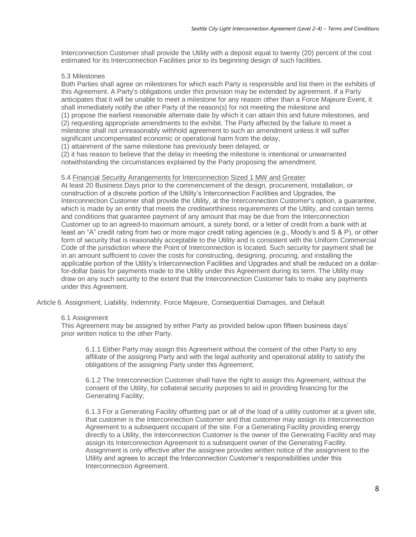Interconnection Customer shall provide the Utility with a deposit equal to twenty (20) percent of the cost estimated for its Interconnection Facilities prior to its beginning design of such facilities.

# 5.3 Milestones

Both Parties shall agree on milestones for which each Party is responsible and list them in the exhibits of this Agreement. A Party's obligations under this provision may be extended by agreement. If a Party anticipates that it will be unable to meet a milestone for any reason other than a Force Majeure Event, it shall immediately notify the other Party of the reason(s) for not meeting the milestone and (1) propose the earliest reasonable alternate date by which it can attain this and future milestones, and (2) requesting appropriate amendments to the exhibit. The Party affected by the failure to meet a milestone shall not unreasonably withhold agreement to such an amendment unless it will suffer significant uncompensated economic or operational harm from the delay,

(1) attainment of the same milestone has previously been delayed, or

(2) it has reason to believe that the delay in meeting the milestone is intentional or unwarranted notwithstanding the circumstances explained by the Party proposing the amendment.

# 5.4 Financial Security Arrangements for Interconnection Sized 1 MW and Greater

At least 20 Business Days prior to the commencement of the design, procurement, installation, or construction of a discrete portion of the Utility's Interconnection Facilities and Upgrades, the Interconnection Customer shall provide the Utility, at the Interconnection Customer's option, a guarantee, which is made by an entity that meets the creditworthiness requirements of the Utility, and contain terms and conditions that guarantee payment of any amount that may be due from the Interconnection Customer up to an agreed-to maximum amount, a surety bond, or a letter of credit from a bank with at least an "A" credit rating from two or more major credit rating agencies (e.g., Moody's and S & P), or other form of security that is reasonably acceptable to the Utility and is consistent with the Uniform Commercial Code of the jurisdiction where the Point of Interconnection is located. Such security for payment shall be in an amount sufficient to cover the costs for constructing, designing, procuring, and installing the applicable portion of the Utility's Interconnection Facilities and Upgrades and shall be reduced on a dollarfor-dollar basis for payments made to the Utility under this Agreement during its term. The Utility may draw on any such security to the extent that the Interconnection Customer fails to make any payments under this Agreement.

Article 6. Assignment, Liability, Indemnity, Force Majeure, Consequential Damages, and Default

# 6.1 Assignment

This Agreement may be assigned by either Party as provided below upon fifteen business days' prior written notice to the other Party.

6.1.1 Either Party may assign this Agreement without the consent of the other Party to any affiliate of the assigning Party and with the legal authority and operational ability to satisfy the obligations of the assigning Party under this Agreement;

6.1.2 The Interconnection Customer shall have the right to assign this Agreement, without the consent of the Utility, for collateral security purposes to aid in providing financing for the Generating Facility;

6.1.3 For a Generating Facility offsetting part or all of the load of a utility customer at a given site, that customer is the Interconnection Customer and that customer may assign its Interconnection Agreement to a subsequent occupant of the site. For a Generating Facility providing energy directly to a Utility, the Interconnection Customer is the owner of the Generating Facility and may assign its Interconnection Agreement to a subsequent owner of the Generating Facility. Assignment is only effective after the assignee provides written notice of the assignment to the Utility and agrees to accept the Interconnection Customer's responsibilities under this Interconnection Agreement.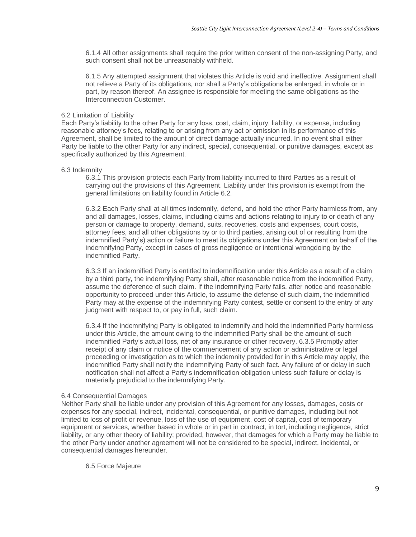6.1.4 All other assignments shall require the prior written consent of the non-assigning Party, and such consent shall not be unreasonably withheld.

6.1.5 Any attempted assignment that violates this Article is void and ineffective. Assignment shall not relieve a Party of its obligations, nor shall a Party's obligations be enlarged, in whole or in part, by reason thereof. An assignee is responsible for meeting the same obligations as the Interconnection Customer.

# 6.2 Limitation of Liability

Each Party's liability to the other Party for any loss, cost, claim, injury, liability, or expense, including reasonable attorney's fees, relating to or arising from any act or omission in its performance of this Agreement, shall be limited to the amount of direct damage actually incurred. In no event shall either Party be liable to the other Party for any indirect, special, consequential, or punitive damages, except as specifically authorized by this Agreement.

## 6.3 Indemnity

6.3.1 This provision protects each Party from liability incurred to third Parties as a result of carrying out the provisions of this Agreement. Liability under this provision is exempt from the general limitations on liability found in Article 6.2.

6.3.2 Each Party shall at all times indemnify, defend, and hold the other Party harmless from, any and all damages, losses, claims, including claims and actions relating to injury to or death of any person or damage to property, demand, suits, recoveries, costs and expenses, court costs, attorney fees, and all other obligations by or to third parties, arising out of or resulting from the indemnified Party's) action or failure to meet its obligations under this Agreement on behalf of the indemnifying Party, except in cases of gross negligence or intentional wrongdoing by the indemnified Party.

6.3.3 If an indemnified Party is entitled to indemnification under this Article as a result of a claim by a third party, the indemnifying Party shall, after reasonable notice from the indemnified Party, assume the deference of such claim. If the indemnifying Party fails, after notice and reasonable opportunity to proceed under this Article, to assume the defense of such claim, the indemnified Party may at the expense of the indemnifying Party contest, settle or consent to the entry of any judgment with respect to, or pay in full, such claim.

6.3.4 If the indemnifying Party is obligated to indemnify and hold the indemnified Party harmless under this Article, the amount owing to the indemnified Party shall be the amount of such indemnified Party's actual loss, net of any insurance or other recovery. 6.3.5 Promptly after receipt of any claim or notice of the commencement of any action or administrative or legal proceeding or investigation as to which the indemnity provided for in this Article may apply, the indemnified Party shall notify the indemnifying Party of such fact. Any failure of or delay in such notification shall not affect a Party's indemnification obligation unless such failure or delay is materially prejudicial to the indemnifying Party.

# 6.4 Consequential Damages

Neither Party shall be liable under any provision of this Agreement for any losses, damages, costs or expenses for any special, indirect, incidental, consequential, or punitive damages, including but not limited to loss of profit or revenue, loss of the use of equipment, cost of capital, cost of temporary equipment or services, whether based in whole or in part in contract, in tort, including negligence, strict liability, or any other theory of liability; provided, however, that damages for which a Party may be liable to the other Party under another agreement will not be considered to be special, indirect, incidental, or consequential damages hereunder.

6.5 Force Majeure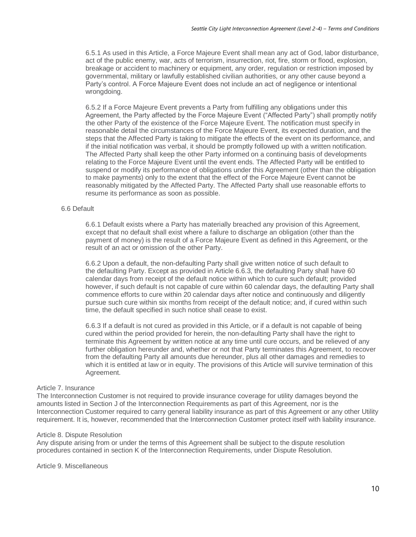6.5.1 As used in this Article, a Force Majeure Event shall mean any act of God, labor disturbance, act of the public enemy, war, acts of terrorism, insurrection, riot, fire, storm or flood, explosion, breakage or accident to machinery or equipment, any order, regulation or restriction imposed by governmental, military or lawfully established civilian authorities, or any other cause beyond a Party's control. A Force Majeure Event does not include an act of negligence or intentional wrongdoing.

6.5.2 If a Force Majeure Event prevents a Party from fulfilling any obligations under this Agreement, the Party affected by the Force Majeure Event ("Affected Party") shall promptly notify the other Party of the existence of the Force Majeure Event. The notification must specify in reasonable detail the circumstances of the Force Majeure Event, its expected duration, and the steps that the Affected Party is taking to mitigate the effects of the event on its performance, and if the initial notification was verbal, it should be promptly followed up with a written notification. The Affected Party shall keep the other Party informed on a continuing basis of developments relating to the Force Majeure Event until the event ends. The Affected Party will be entitled to suspend or modify its performance of obligations under this Agreement (other than the obligation to make payments) only to the extent that the effect of the Force Majeure Event cannot be reasonably mitigated by the Affected Party. The Affected Party shall use reasonable efforts to resume its performance as soon as possible.

# 6.6 Default

6.6.1 Default exists where a Party has materially breached any provision of this Agreement, except that no default shall exist where a failure to discharge an obligation (other than the payment of money) is the result of a Force Majeure Event as defined in this Agreement, or the result of an act or omission of the other Party.

6.6.2 Upon a default, the non-defaulting Party shall give written notice of such default to the defaulting Party. Except as provided in Article 6.6.3, the defaulting Party shall have 60 calendar days from receipt of the default notice within which to cure such default; provided however, if such default is not capable of cure within 60 calendar days, the defaulting Party shall commence efforts to cure within 20 calendar days after notice and continuously and diligently pursue such cure within six months from receipt of the default notice; and, if cured within such time, the default specified in such notice shall cease to exist.

6.6.3 If a default is not cured as provided in this Article, or if a default is not capable of being cured within the period provided for herein, the non-defaulting Party shall have the right to terminate this Agreement by written notice at any time until cure occurs, and be relieved of any further obligation hereunder and, whether or not that Party terminates this Agreement, to recover from the defaulting Party all amounts due hereunder, plus all other damages and remedies to which it is entitled at law or in equity. The provisions of this Article will survive termination of this Agreement.

### Article 7. Insurance

The Interconnection Customer is not required to provide insurance coverage for utility damages beyond the amounts listed in Section J of the Interconnection Requirements as part of this Agreement, nor is the Interconnection Customer required to carry general liability insurance as part of this Agreement or any other Utility requirement. It is, however, recommended that the Interconnection Customer protect itself with liability insurance.

### Article 8. Dispute Resolution

Any dispute arising from or under the terms of this Agreement shall be subject to the dispute resolution procedures contained in section K of the Interconnection Requirements, under Dispute Resolution.

Article 9. Miscellaneous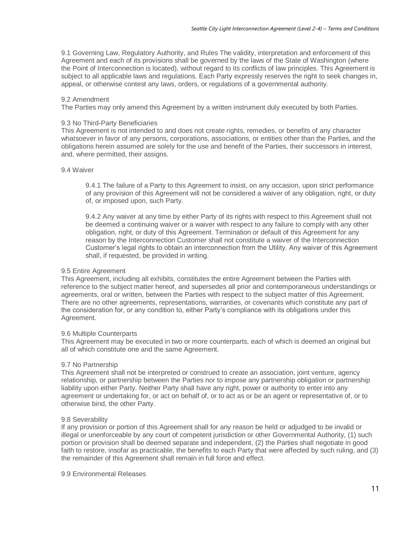9.1 Governing Law, Regulatory Authority, and Rules The validity, interpretation and enforcement of this Agreement and each of its provisions shall be governed by the laws of the State of Washington (where the Point of Interconnection is located), without regard to its conflicts of law principles. This Agreement is subject to all applicable laws and regulations. Each Party expressly reserves the right to seek changes in, appeal, or otherwise contest any laws, orders, or regulations of a governmental authority.

# 9.2 Amendment

The Parties may only amend this Agreement by a written instrument duly executed by both Parties.

# 9.3 No Third-Party Beneficiaries

This Agreement is not intended to and does not create rights, remedies, or benefits of any character whatsoever in favor of any persons, corporations, associations, or entities other than the Parties, and the obligations herein assumed are solely for the use and benefit of the Parties, their successors in interest, and, where permitted, their assigns.

## 9.4 Waiver

9.4.1 The failure of a Party to this Agreement to insist, on any occasion, upon strict performance of any provision of this Agreement will not be considered a waiver of any obligation, right, or duty of, or imposed upon, such Party.

9.4.2 Any waiver at any time by either Party of its rights with respect to this Agreement shall not be deemed a continuing waiver or a waiver with respect to any failure to comply with any other obligation, right, or duty of this Agreement. Termination or default of this Agreement for any reason by the Interconnection Customer shall not constitute a waiver of the Interconnection Customer's legal rights to obtain an interconnection from the Utility. Any waiver of this Agreement shall, if requested, be provided in writing.

# 9.5 Entire Agreement

This Agreement, including all exhibits, constitutes the entire Agreement between the Parties with reference to the subject matter hereof, and supersedes all prior and contemporaneous understandings or agreements, oral or written, between the Parties with respect to the subject matter of this Agreement. There are no other agreements, representations, warranties, or covenants which constitute any part of the consideration for, or any condition to, either Party's compliance with its obligations under this Agreement.

# 9.6 Multiple Counterparts

This Agreement may be executed in two or more counterparts, each of which is deemed an original but all of which constitute one and the same Agreement.

### 9.7 No Partnership

This Agreement shall not be interpreted or construed to create an association, joint venture, agency relationship, or partnership between the Parties nor to impose any partnership obligation or partnership liability upon either Party. Neither Party shall have any right, power or authority to enter into any agreement or undertaking for, or act on behalf of, or to act as or be an agent or representative of, or to otherwise bind, the other Party.

# 9.8 Severability

If any provision or portion of this Agreement shall for any reason be held or adjudged to be invalid or illegal or unenforceable by any court of competent jurisdiction or other Governmental Authority, (1) such portion or provision shall be deemed separate and independent, (2) the Parties shall negotiate in good faith to restore, insofar as practicable, the benefits to each Party that were affected by such ruling, and (3) the remainder of this Agreement shall remain in full force and effect.

9.9 Environmental Releases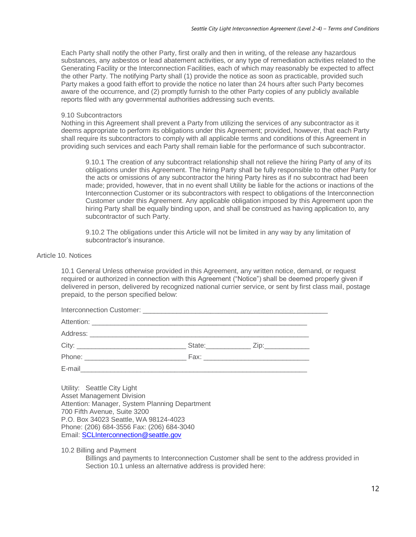Each Party shall notify the other Party, first orally and then in writing, of the release any hazardous substances, any asbestos or lead abatement activities, or any type of remediation activities related to the Generating Facility or the Interconnection Facilities, each of which may reasonably be expected to affect the other Party. The notifying Party shall (1) provide the notice as soon as practicable, provided such Party makes a good faith effort to provide the notice no later than 24 hours after such Party becomes aware of the occurrence, and (2) promptly furnish to the other Party copies of any publicly available reports filed with any governmental authorities addressing such events.

# 9.10 Subcontractors

Nothing in this Agreement shall prevent a Party from utilizing the services of any subcontractor as it deems appropriate to perform its obligations under this Agreement; provided, however, that each Party shall require its subcontractors to comply with all applicable terms and conditions of this Agreement in providing such services and each Party shall remain liable for the performance of such subcontractor.

9.10.1 The creation of any subcontract relationship shall not relieve the hiring Party of any of its obligations under this Agreement. The hiring Party shall be fully responsible to the other Party for the acts or omissions of any subcontractor the hiring Party hires as if no subcontract had been made; provided, however, that in no event shall Utility be liable for the actions or inactions of the Interconnection Customer or its subcontractors with respect to obligations of the Interconnection Customer under this Agreement. Any applicable obligation imposed by this Agreement upon the hiring Party shall be equally binding upon, and shall be construed as having application to, any subcontractor of such Party.

9.10.2 The obligations under this Article will not be limited in any way by any limitation of subcontractor's insurance.

## Article 10. Notices

10.1 General Unless otherwise provided in this Agreement, any written notice, demand, or request required or authorized in connection with this Agreement ("Notice") shall be deemed properly given if delivered in person, delivered by recognized national currier service, or sent by first class mail, postage prepaid, to the person specified below:

| Hility: Seattle City Light |  |  |
|----------------------------|--|--|

Utility: Seattle City Light Asset Management Division Attention: Manager, System Planning Department 700 Fifth Avenue, Suite 3200 P.O. Box 34023 Seattle, WA 98124-4023 Phone: (206) 684-3556 Fax: (206) 684-3040 Email[: SCLInterconnection@seattle.gov](mailto:SCLInterconnection@seattle.gov)

10.2 Billing and Payment

Billings and payments to Interconnection Customer shall be sent to the address provided in Section 10.1 unless an alternative address is provided here: